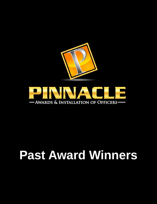

# **Past Award Winners**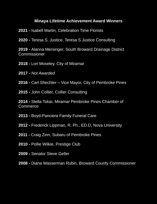#### **Minaya Lifetime Achievement Award Winners**

**2021 -** Isabell Martin, Celebration Time Florists

**2020 -** Teresa S. Justice, Teresa S Justice Consulting

**2019 -** Alanna Mersinger, South Broward Drainage District Commissioner

**2018 -** Lori Moseley, City of Miramar

**2017 -** *Not Awarded*

**2016 -** Carl Shechter – Vice Mayor, City of Pembroke Pines

**2015 -** John Collier, Collier Consulting

**2014 -** Stella Tokar, Miramar Pembroke Pines Chamber of **Commerce** 

**2013 -** Boyd-Panciera Family Funeral Care

**2012 -** Frederick Lippman, R. Ph., ED.D, Nova University

**2011 -** Craig Zinn, Subaru of Pembroke Pines

**2010 -** Pollie Wilkie, Prestige Club

**2009 -** Senator Steve Geller

**2008 -** Diana Wasserman Rubin, Broward County Commissioner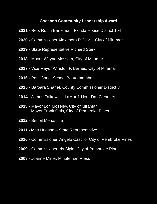#### **Coceano Community Leadership Award**

- **2021 -** Rep. Robin Bartleman, Florida House District 104
- **2020 -** Commissioner Alexandra P. Davis, City of Miramar
- **2019 -** State Representative Richard Stark
- **2018 -** Mayor Wayne Messam, City of Miramar
- **2017 -** Vice Mayor Winston F. Barnes, City of Miramar
- **2016 -** Patti Good, School Board member
- **2015 -** Barbara Sharief, County Commissioner District 8
- **2014 -** James Falkowski, LaMar 1 Hour Dru Cleaners
- **2013 -** Mayor Lori Moseley, City of Miramar Mayor Frank Ortis, City of Pembroke Pines
- **2012 -** Benoit Menasche
- **2011 -** Matt Hudson State Representative
- **2010 -** Commissioner, Angelo Castillo, City of Pembroke Pines
- **2009 -** Commissioner Iris Siple, City of Pembroke Pines
- **2008 -** Joanne Miner, Minuteman Press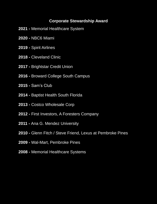#### **Corporate Stewardship Award**

- **2021 -** Memorial Healthcare System
- **2020 -** NBC6 Miami
- **2019 -** Spirit Airlines
- **2018 -** Cleveland Clinic
- **2017 -** Brightstar Credit Union
- **2016 -** Broward College South Campus
- **2015 -** Sam's Club
- **2014 -** Baptist Health South Florida
- **2013 -** Costco Wholesale Corp
- **2012 -** First Investors, A Foresters Company
- **2011 -** Ana G. Mendez University
- **2010 -** Glenn Fitch / Steve Friend, Lexus at Pembroke Pines
- **2009 -** Wal-Mart, Pembroke Pines
- **2008 -** Memorial Healthcare Systems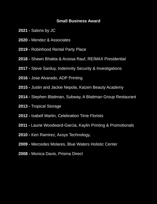#### **Small Business Award**

- **2021 -** Salons by JC
- **2020 -** Mendez & Associates
- **2019 -** Robinhood Rental Party Place
- **2018 -** Shawn Bhakta & Aroosa Rauf, RE/MAX Presidential
- **2017 -** Steve Sarduy, Indemnity Security & Investigations
- **2016 -** Jose Alvarado, ADP Printing
- **2015 -** Justin and Jackie Nepola, Kaizen Beauty Academy
- **2014 -** Stephen Blattman, Subway, A Blattman Group Restaurant
- **2013 -** Tropical Storage
- **2012 -** Isabell Martin, Celebration Time Florists
- **2011 -** Laurie Woodward-Garcia, Kaylin Printing & Promotionals
- **2010 -** Ken Ramirez, Axsys Technology,
- **2009 -** Mercedes Molares, Blue Waters Holistic Center
- **2008 -** Monica Davis, Prisma Direct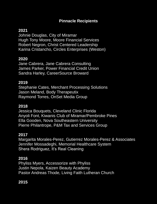## **Pinnacle Recipients**

# **2021**

Johnie Douglas, City of Miramar Hugh Tony Moore, Moore Financial Services Robert Negron, Christ Centered Leadership Karina Cristancho, Circles Enterprises (Weston)

#### **2020**

Jane Cabrera, Jane Cabrera Consulting James Parker, Power Financial Credit Union Sandra Harley, CareerSource Broward

#### **2019**

Stephanie Cates, Merchant Processing Solutions Jason Meland, Body Therapeutix Raymond Torres, OnSet Media Group

## **2018**

Jessica Bouquets, Cleveland Clinic Florida Anyoli Font, Kiwanis Club of Miramar/Pembroke Pines Ella Gooden, Nova Southeastern University Pierre Philantrope, P&M Tax and Services Group

# **2017**

Margarita Morales-Perez, Gutierrez Morales-Perez & Associates Jennifer Mossadeghi, Memorial Healthcare System Shera Rodriguez, It's Real Cleaning

# **2016**

Phyliss Myers, Accessorize with Phyliss Justin Nepola, Kaizen Beauty Academy Pastor Andreas Thode, Living Faith Lutheran Church

# **2015**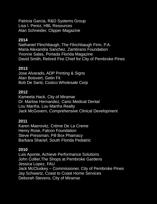Patricia Garcia, R&D Systems Group Lisa I. Perez, HBL Resources Alan Schneider, Clipper Magazine

#### **2014**

Nathaniel Flinchbaugh, The Flinchbaugh Firm, P.A. Maria Alexandra Sanchez, Zambrano Foundation Yvonne Salas, Portada Florida Magazine David Smith, Retired Fire Chief for City of Pembroke Pines

#### **2013**

Jose Alvarado, ADP Printing & Signs Alan Boisvert, Getin Fit Bob De Santi, Costco Wholesale Corp

#### **2012**

Kameela Hack, City of Miramar Dr. Marlow Hernandez, Cano Medical Dental Lou Manfra, Lou Manfra Realty Jack McGovern, Comprehensive Clinical Development

#### **2011**

Karen Maerovitz, Crème De La Creme Henry Rose, Falcon Foundation Steve Pressman, Pill Box Phamacy Barbara Sharief, South Florida Pediatric

#### **2010**

Luis Aponte, Achieve Performance Solutions John Collier,The Shops at Pembroke Gardens Jessica Lopez, FAU Jack McCluskey – Commissioner, City of Pembroke Pines Jay Schwartz, Coast to Coast Home Services Deborah Stevens, City of Miramar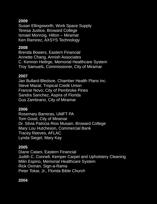## **2009**

Susan Ellingsworth, Work Space Supply Teresa Justice, Broward College Ismael Monroig, Hilton – Miramar Ken Ramirez, AXSYS Technology

## **2008**

Brenda Bowers, Eastern Financial Annette Chang, Annish Associates C. Kennon Hetlrge, Memorial Healthcare System Troy Samuels, Commissioner, City of Miramar

## **2007**

Jan Bullard-Bledsoe, Chamber Health Plans Inc. Steve Mazal, Tropical Credit Union Francie Novo, City of Pembroke Pines Sandra Sanchez, Aspira of Florida Gus Zambrano, City of Miramar

## **2006**

Rosemary Barreras, UMFT PA Tom Good, City of Miramar Dr. Silvia Patricia Rios Musain, Broward College Mary Lou Hutcheson, Commercial Bank Tracey Reeves, AFLAC Lynda Siegel, Mary Kay

# **2005**

Diane Catani, Eastern Financial Judith C. Connell, Kemper Carpet and Upholstery Cleaning Milin Espino, Memorial Healthcare System Rick Oxman, Sign-a-Rama Peter Tokar, Jr., Florida Bible Church

# **2004**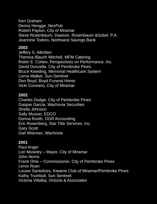Ken Graham Denny Hengge, NexPub Robert Payton, City of Miramar Steve Rosenbaum, Dawson, Rosenbaum &Sobel, P.A. Jeannine Todero, Northwest Savings Bank

#### **2003**

Jeffery S. Albritten Theresa Blauch Mitchell, MFM Catering Robin E. Cohen, Perspectives on Performance, Inc. David Donzella, City of Pembroke Pines Bruce Keesling, Memorial Healthcare System Lorna Walker, Sun-Sentinel Don Boyd, Boyd Funeral Home Vicki Coceano, City of Miramar

## **2002**

Charles Dodge, City of Pembroke Pines Gaspar Garcia, Wachovia Securities Sheila Johnson Sally Musser, EDCO Donna Rooth, DGR Accounting Eric Rosenberg, Star Title Services, Inc. Gary Scott Gail Wilsman, Wachovia

## **2001**

Paul Anger Lori Moseley – Mayor, City of Miramar John Norris Frank Ortis – Commissioner, City of Pembroke Pines Lenor Ryan Louise Santelices, Kiwanis Club of Miramar/Pembroke Pines Kathy Trumbull, Sun Sentinel Victoria Villalba, Victoria & Associates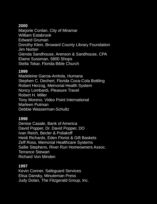#### **2000**

Marjorie Conlan, City of Miramar William Estabrook Edward Gruman Dorothy Klein, Broward County Library Foundation Jim Norton Glenda Sandhouse, Arenson & Sandhouse, CPA Elaine Sussman, 5800 Shops Stella Tokar, Florida Bible Church

#### **1999**

Madeleine Garcia-Arritola, Humana Stephen C. Dechert, Florida Coca-Cola Bottling Robert Herzog, Memorial Health System Noncy Lombardi, Pleasure Travel Robert H. Miller Tony Moreno, Video Point International Marleen Putman Debbie Wasserman-Schultz

#### **1998**

Denise Casale, Bank of America David Popper, Dr. David Popper, DO Ivan Reich, Becler & Poliakoff Heidi Richards, Eden Florist & Gift Baskets Zeff Ross, Memorial Healthcare Systems Sallie Stephens, River Run Homeowners Assoc. Terrance Stewart Richard Von Minden

## **1997**

Kevin Conner, Safeguard Services Elisa Dansky, Minuteman Press Judy Dolan, The Fitzgerald Group, Inc.